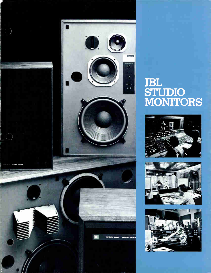

# JBL STUDIO MONITORS





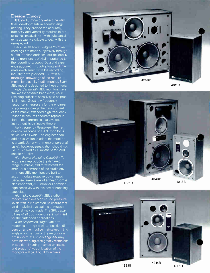## Design Theory

JBL studio monitors reflect the very latest developments in acoustic engineering. They provide the accuracy, durability, and versatility required in professional installations—with substantial extra capacity available to deal with the unexpected.

Because all artistic judgments of recordings are made subjectively through studio monitor oudspeakers, the quality of the monitors is of..vital importance to the recording process. Data and experience acquired through a long and intimate involvement with the recording industry have provided JBL with a thorough knowedge of the requirements for a qua ity studio monitor. Every JBL model is designed to these criteria.

Wide Bandwidth. JBL monitors have the wdest possible bandwidth, while retaining sufficient sensitivity to be practical in use. Good low frequency response is necessary for the engineer to accurately gauge the bass content of the music; extended high frequency response ensures accurate reproduction of the harmonics that give each instrument its distinctive timbre.

Flat Frequency Response. The frequehcy response of a JBL monitor is flat as well as wide. The engineer can add ecualization to adapt the monitor to a particular environment (or personal taste); however, equalization should not be considered as a substitute for loudspeaker quality.

High. Power Handling Capability To accurately reproduce the dynamic range of music, and to withstand the strenuous demands of the studio environment, JBL monitors are built to accommodate massive power input. Because reserve amplifier headroom is also important, JBL monitors combine high sensitivity with this power handling capacity.

High SPL Capability. JBL studio monitors achieve high sound pressure levels th low distortion, to ensure that valid analytical evaluations of musical material may be made. The SPL capabilities o' all JBL monitors are sufficient for their intended applications.

Wide Dispersion Angle. Uniform response through a wide, specified dispersion angle must be maintained. If this angle is too narrow or the response is not uniform, the studio engineer may have his working area greatly restricted; in addition, imaging may be unstable, and proper physical location of the monitors will be difficult to achieve.







4333B

4301B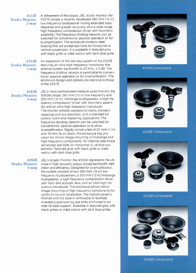Studio Monitor 4331B utilizes a recently developed 380 mm (15 in) 2-way low frequency loudspeaker having extended bass response and greater accuracy, plus a wide range high frequency compression driver with horn/lens assembly. The frequency dividing network can be switched for conventional, passive operation or for bi-amplification. The enclosure contains steel bracing that will accept eye bolts for horizontal or vertical suspension. It is available in textured gray with black grille or oiled walnut with dark blue grille.

4333B An expansion of the two-way system of the 4331B Studio Monitor featuring an ultra-high frequency transducer that 3-way extends system bandwidth to 20 kHz,  $\pm$  3 dB. The frequency dividing network is switchable for conventional, passive operation or for bi-amplification. The enclosure design and options are identical to those of the 4331B.

4343B JBL's most sophisticated medium-sized monitor, the Studio Monitor 4343B utilizes 380 mm (15 in) low frequency and 4-way 250 mm (10 in) midrange loudspeakers, a high frequency compression driver with horn/lens assembly, and an ultra-high frequency transducer. The monitor exhibits exceptional clarity, transient response and low distortion, and is intended for control room and mastering applications. The frequency dividing network can be switched for conventional, passive operation or to allow bi-amplification. Rigidly constructed of 25 mm (1 in) and 19 mm  $(34 \text{ in})$  stock, the enclosure has provision for mirror image mounting of midrange and high frequency components. An internal steel brace will accept eye bolts for horizontal or vertical suspension. Textured gray with black grille or oiled walnut with dark blue grille.

4350B JBL's largest monitor, the 4350B represents the ulti-Studio Monitor mate in high acoustic output, broad bandwidth, defi-4-way nition and efficiency. Designed for bi-amplification, the system consists of two 380 mm (15 in) low frequency loudspeakers, a 300 mm (12 in) midrange loudspeaker, a high frequency compression driver with horn and acoustic lens, and an ultra-high frequency transducer. The enclosure allows mirror image mounting of high frequency components for optimum source localization. The bottom panel is finished and the base is removable to facilitate inverted suspension by eye bolts anchored to an internal steel support. Available in textured gray with black grilles or oiled walnut with dark blue grilles.



43318 Components



43338 Components



43438 Components



43508 Components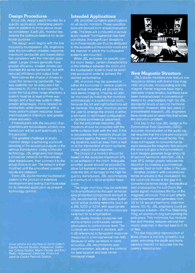## Design Procedures

Since JBL designs each monitor for a specific application, interacting parameters in addition to those above must be considered. Each JBL monitor represents the optimum balance for its particular purpose.

The design work begins with the low frequency loudspeaker. JBL engineers seek the smoothest possible response, maximum bandwidth and lowest distortion consistent with the intended application. Larger drivers generally have greater efficiency; smaller drivers can maintain the same bandwidth, but with reduced efficiency and output level.

Next comes the choice of drivers to cover the remaining bandwidth. Twoway systems can be adequate if flat response to 20 kHz is not required. To cover the full audible range effectively, a system must be at least a three-way design, and a four-way system offers greater advantages: more detailed reproduction, wider dispersion with a more uniform power response, lower intermodulation distortion, and greater phase accuracy.

If transducers with the required characteristics are not available, a totally new transducer will be built specifically for this purpose.

The greatest challenge in studio monitor design is achieving a smooth blending of the acoustical outputs of the various transducers. Using computer technology, JBL engineers first design a crossover network for theoretically ideal transducers, then connect it to the actual drivers in use. The network is then modified until the smoothest possible results are obtained.

Every JBL studio monitor loudspeaker system is the product of extensive development and testing. Each is as ideal for its intended application as present technology permits.

Cover photos are courtesy of, top to bottom. Capitol Record Studios, Hollywood, California: Criteria Studios, Miami, Florida: and KHJ Radio, Hollywood, California. Photo this page by Capitol Records Studios.

## Intended Applications

JBL provides complete specifications on all studio monitors These specifications are derived from actual production units. The tests are conducted in acoustically neutral "hemispherical free-field" conditions. Any significant deviatio from these results can thus be attributed to the acoustics of thecontrol room and the manner in which the loudspeaker systems are mounted

While JBL endorses no specific control room design, certain characteristics of the interface between the room and the loudspeaker system must be taken into account in order to achieve the desired performance.

JBL monitors may be operated in either the horizontal or vertical position, but vertical mounting will provide the best stereo imaging. Imaging will also be improved by install ng the monitors symmetrically in a symmetrical room, because the left and right reflections will be identical. The larger monitors permit the user to arrange the drivers in either a left-hand or right-hand configuration to facilitate symmetrical placement.

For the smoothest response, JBL monitors should be mounted with the baffle surfaces flush with the wall. If this is not possible, the monitors should be mounted against the wall. Other mounting locations, such as away from a wall or at the intersection of room surfaces, cause uneven bass response.

The choice of a monitor should be based on the expected maximum SPL to be achieved in the room. Adequate amplifier power should be provided to allow full transient impact, and to minimize the risk of damage to the high frequency transducers. JBL recommends a minimum of 3 dB of amplifier headroom.

The larger monitors may be switched for bi-amplification by the user; all necessary protection compcnents are built in. JBL recommends 12 dB/octave Butterworth active dividing networks (such as a JBL 5233 or 5234, with appropriate crossover cards) wher the monitors are switched for bi-amplification.

JBL studio monitor crossover networks employ continuously variable attenuators to control driver level. The controls are marked in decibels, with 0 dB referenced to flat system response measured in a hemispherical free field. Because of wide variations in room acoustics, JBL recommends user experimentation, adjusting the controls for best balance and best center monaural image.



## New Magnetic Structure

JBL's studio monitors now feature lowfrequency drivers with brand new magnetic structures, incorporating a ferrite magnet. Ferrite magnets have mary desirable characteristics, but these have been overshadowed in conventional designs by unacceptably high (by JBL standards) levels of second harmonic distortion. However, after two years of concentrated research, JBL engineers have developed an assembly that solves the distortion problem.

One key to the new JBL design is the Symmetrical Field Geometry (SFG). Accurate reproduction of the audic signal requires that the cone and voice coil move in or out with equal facility. This does not happen in conventional designs because the magnetic field around the voice coil gap is not symmetrical; such designs generate large amounts of second harmonic distortion. JBL's new SFG design greatly reduces this distortion by creating a symmetrical magnetic field on both sides of the gap.

Another problem with conventional ferrite structures is flux modulation. As the voice coil moves in the gap in a conventional ferrite design, the electrical field produced by the coil (from the audio signal) modulates the flux in the magnetic structure. This in turn affects cone movement and generates from 3% to 5% second harmonic distortion above 100 Hz. JBL engineers found an ingenious solution—the Flux Stabilizing Ring, an aluminum ring surrounding the pole piece. This minimizes flux modulation and thereby reduces second harmonic distortion in the mid-bass to 0.1% or less.

The low frequency reproduction of these drivers is not only powerful, but clean, exhibiting the depth and transparency needed for accurate low frequency reproduction.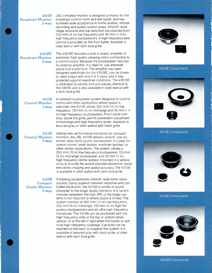## 4301B Broadcast Monitor 2-way

JBL's smallest monitor is designed primarily for the broadcast control room and edit booth, and has achieved wide acceptance in home studios, remote recording and quality control areas. Smooth, wide range response and low distortion are obtained from  $200$  mm  $(8 \text{ in})$  low frequency and 36 mm  $(1.4 \text{ in})$ high frequency loudspeakers. A high frequency level control is provided on the front baffle. Available in oiled walnut with dark blue grille.

## 4301BE Broadcast Monitor 2-way

The 4301BE includes a built-in power amplifier of extremely high quality, allowing direct connection to a control board. Because the loudspeaker requires no external amplifier, it is ideal for use wherever space is at a premium. The amplifier has been designed specifically for the 4301BE, can be driven to rated output with only 0.5 V input, and is fully protected against overdrive conditions. The 4301BE is otherwise physically and acoustically identical to the 4301B, and is also available in oiled walnut with a dark blue grille.

4311B Control Monitor 3-way A compact loudspeaker system designed for control rooms and other applications where space is restricted, the 4311B utilizes 300 mm (12 in) low frequency, 130 mm (5 in) midrange and 36 mm (1.4 in) high frequency loudspeakers. Front panel controls, below the grille, permit convenient adjustment of midrange and high frequency levels. Available in textured gray or oiled walnut with black grille.

4313B Control Monitor 3-way

Setting new performance standards for compact monitors, the JBL 4313B delivers smooth, low distortion, wide-band sound reproduction. It is ideal for control rooms, small studios, mixdown facilities, or other similar applications. The system utilizes a 250 mm (10 in) low frequency loudspeaker, 130 mm (5 in) midrange loudspeaker, and 25 mm (1 in) high frequency dome radiator mounted in a vertical array to provide the widest possible dispersion, excellent stereo imaging and spatial accuracy. The 4313B is available in oiled walnut with dark blue grille.

4315B Compact Studio Monitor 4-way

Exhibiting exceptionally smooth, wide-band reproduction, clarity, superior transient response and controlled dispersion, the 4315B is similar in sound character to the larger studio monitors. It is recommended whenever the high SPL of the larger systems is not required or where space is limited. The system consists of 300 mm (12 in) low frequency, 200 mm (8 in) midrange, 130 mm (5 in) high frequency loudspeakers and an ultra-high frequency transducer. The 4315B can be positioned with the high frequency units at the top or bottom when vertical, or at the left or right when horizontal, to optimize high frequency coverage. Eye bolts can be inserted on the back to suspend the system. It is available in textured gray with black grille, or oiled walnut with dark blue grille.



4301B Components



4311B Components



4313B Components

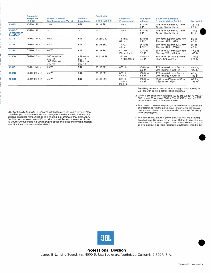|                                                  | Frequency<br>Response<br>$(\pm 3$ dB) | Power Capacity <sup>2</sup><br>(Continuous Sine Wave) | Nominal<br>Impedance                                     | Sensitivity <sup>1</sup><br>1 W. 1 m (3.3 ft) | Crossover<br>Frequencies <sup>3</sup> | Enclosure<br>Volume              | <b>Exterior Dimensions</b><br>$(Height \times Width \times Depth)$                                    | Net Weight                    |
|--------------------------------------------------|---------------------------------------|-------------------------------------------------------|----------------------------------------------------------|-----------------------------------------------|---------------------------------------|----------------------------------|-------------------------------------------------------------------------------------------------------|-------------------------------|
| 4301B                                            | 45 Hz - 15 kHz                        | 15 W                                                  | $8\,\Omega$                                              | 88 dB SPL                                     | $2.5$ kHz                             | 30 litres<br>1 <sup>11</sup>     | 483 mm x 306 mm x 211 mm<br>19 in x $12\frac{1}{16}$ in x 11 $\frac{1}{4}$ in                         | 12.7 kg<br>28 lb              |
| 4301BE<br>Loudspeaker,<br>Amplified <sup>4</sup> | 45 Hz - 15 kHz                        | $\frac{1}{2}$                                         | $\hspace{0.1mm}-\hspace{0.1mm}$                          |                                               | $2.5$ kHz                             | 30 litres<br>1 <sup>h</sup>      | 483 mmx306 mmx211 mm<br>$19 \text{ in } x 12\frac{1}{16} \text{ in } x 11\frac{1}{4} \text{ in}$      | 14 kg<br>31 lb                |
| 4311B                                            | 45 Hz - 15 kHz                        | 40W                                                   | $8\,\Omega$                                              | 91 dB SPL                                     | 1.5 kHz.<br>6 kHz                     | 40 litres<br>$1.5 \text{ ft}^3$  | 597 mmx362 mmx298 mm<br>231/2 in x 141/4 in x 113/4 in                                                | 20 kg<br>46 lb                |
| 4313B                                            | 40 Hz - 18 kHz                        | 40 W                                                  | $8\,\Omega$                                              | 89 dB SPL                                     | 1 kHz.<br>4 kHz                       | 34 litres<br>$1.2 \text{ ft}^3$  | 597 mmx362 mmx252 mm<br>$23\frac{1}{2}$ in x 14 $\frac{1}{4}$ in x 9 <sup>15</sup> / <sub>16</sub> in | $21$ kg<br>47 lb              |
| 4315B                                            | 35 Hz-20 kHz                          | 60 W                                                  | $8\,\Omega$                                              | 89 dB SPL                                     | 400 Hz,<br>2 kHz, 8 kHz               | 90 litres<br>3.2 <sup>h</sup>    | 854 mmx 521 mmx 327 mm<br>33% in x 201/2 in x 12% in                                                  | 47.6 kg<br>105 <sub>1</sub> b |
| 4350B                                            | 30 Hz-20 kHz                          | 200 W below<br>250 Hz<br>100 W above<br>250 Hz        | 4 $\Omega$ below<br>250 Hz<br>$8 \Omega$ above<br>250 Hz | 95.5 dB SPL                                   | 250 Hz.<br>1.1 kHz, 9 kHz             | 270 litres<br>9.5 <sup>11</sup>  | 889 mmx 121 mmx 508 mm<br>35 in x 47% in x 20 in                                                      | 118 kg<br>261 lb              |
| 4331B                                            | 35 Hz - 15 kHz                        | 75 W                                                  | $8\,\Omega$                                              | 93 dB SPL                                     | 800 Hz                                | 156 litres<br>$5.5 \text{ ft}^3$ | 778 mm x 619 mm x 514 mm<br>30% in x24% in x201/2 in                                                  | 58.5 kg<br>129 lb             |
| 4333B                                            | 35 Hz-20 kHz                          | 75 W                                                  | $8\,\Omega$                                              | 93 dB SPL                                     | 800 Hz.<br>8.5 kHz                    | 156 litres<br>$5.5 \text{ ft}^3$ | 778 mm x 619 mm x 514 mm<br>30% in x24% in x20% in                                                    | 60 kg<br>133 <sub>lb</sub>    |
| 4343B                                            | 35 Hz-20 kHz                          | 75 W                                                  | $8\Omega$                                                | 93 dB SPL                                     | 300 Hz.<br>1.25 kHz.<br>9.5 kHz       | 156 litres<br>$5.5 \text{ ft}^3$ | 1051 mm × 635 mm × 435 mm<br>41% x 25 in x 17% in                                                     | 83.9 kg<br>185 lb             |

1. Sensitivity measured with an input averaged from 500 Hz to 2.5 kHz, with controls set for flattest response.

2. When bi-amplified,the 4331B and 4333B are rated at 75W below 800 Hz and 30 W above 800 Hz. The 4343B is rated at 75 W below 300 Hz and 75 W above 300 Hz.

3. The lowest crossover frequency specified refers to operational characteristics with the network set for conventional, passive operation and is also the recommended crossover frequency for bi-amplification.

4. The 4301BE has a built-in power amplifier with the following<br>specifications: Sensitivity 0.5 V; Power Output 10 W continuous<br>sine wave; THD at rated output 0.05% or less; THD at 1 W 0.02%<br>or less; Signal/Noise Ratio (at

JBL continually engages in research related to product improvement. New malenials, production memods, and design reinfements are introduced into<br>existing products without notice as a routine expression of that philosophy.<br>For this reason, any current JBL product may differ in some respect from its published description, but will always equal or exceed the original design specifications unless otherwise stated.



Professional Division James B. Lansing Sound, Inc., 8500 Balboa Boulevard, Northridge, California 91329 U.S.A.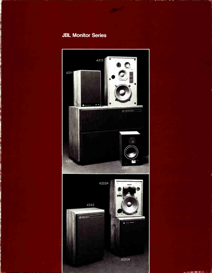## **JBL Monitor Series**

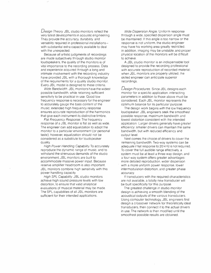$D$ esign Theory. JBL studio monitors reflect the very latest developments in acoustic engineering. They provide the accuracy, durability and versatility required in professional installations with substantial extra capacity available to deal with the unexpected.

Because all artistic judgments of recordings are made subjectively through studio monitor loudspeakers, the quality of the monitors is of vital importance to the recording process. Data and experience acquired through a long and intimate involvement with the recording industry have provided JBL with a thorough knowledge of the requirements for a quality studio monitor. Every JBL model is designed to these criteria.

Wide Bandwidth. JBL monitors have the widest possible bandwidth, while retaining sufficient sensitivity to be practical in use. Good low frequency response is necessary for the engineer to accurately gauge the bass content of the music: extended high frequency response ensures accurate reproduction of the harmonics that give each instrument its distinctive timbre.

Flat Frequency Response. The frequency response of a JBL monitor is flat as well as wide. The engineer can add equalization to adapt the monitor to a particular environment (or personal taste); however, equalization should not be considered as a substitute for loudspeaker quality.

High Power Handling Capability. To accurately reproduce the dynamic range of music, and to withstand the strenuous demands of the studio environment, JBL monitors are built to accommodate massive power input. Because reserve amplifier headroom is also important. JBL monitors combine high sensitivity with this power handling capacity.

High SPL Capability. JBL studio monitors achieve high sound pressure levels with low distortion, to ensure that valid analytical evaluations of musical material may be made. The SPL capabilities of all JBL monitors are sufficient for their intended applications.

Wide Dispersion Angle. Uniform response through a wide, specified dispersion angle must be maintained. If this angle is too narrow or the response is not uniform, the studio engineer may have his working area greatly restricted: in addition, imaging may be unstable, and proper physical location of the monitors will be difficult to achieve.

A JBL studio monitor is an indispensable tool designed to provide the recording professional with accurate reproduction of recorded material: when JBL monitors are properly utilized, the skilled engineer can anticipate superior recordings.

Design Procedures. Since JBL designs each monitor for a specific application, interacting parameters in addition to those above must be considered. Each JBL monitor represents the optimum balance for its particular purpose.

The design work begins with the low frequency loudspeaker. JBL engineers seek the smoothest possible response, maximum bandwidth and lowest distortion consistent with the intended application. Larger drivers generally have greater efficiency: smaller drivers can maintain the same bandwidth. but with reduced efficiency and output level.

Next comes the choice of drivers to cover the remaining bandwidth. Two-way systems can be adequate if flat response to 20 kHz is not required. To cover the full audible range effectively, a system must be at least a three-way design, and a four-way. system offers greater advantages: more detailed reproduction, wider dispersion with a more uniform power response, lower intermodulation distortion, and greater phase accuracy.

If transducers with the required characteristics are not available, a totally new transducer will be built specifically for this purpose.

The greatest challenge in studio monitor design is achieving a smooth blending of the acoustical outputs of the various transducers. Using computer technology, JBL engineers first design a crossover network for theoretically ideal transducers, then connect it to the actual drivers in use. The network is then modified until the smoothest possible results are obtained.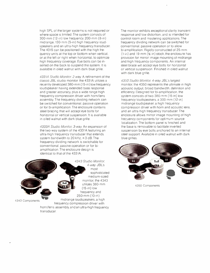high SPL of the larger systems is not required or where space is limited.The system consists of 300-mm (12-in) low frequency, 200-mm (8-in) midrange, 130-mm (5-in) high frequency loudspeakers and an ultra-high frequency transducer. The 4315 can be positioned with the high frequency units at the top or bottom when vertical. or at the left or right when horizontal, to optimize high frequency coverage. Eye bolts can be inserted on the back to suspend the system. It is available in oiled walnut with dark blue grille.

4331A Studio Monitor 2-way. A refinement of the classic JBL studio monitor. the 4331A utilizes a recently developed 380-mm (15-in) low frequency loudspeaker having extended bass response and greater accuracy, plus a wide range high frequency compression driver with horn/lens assembly. The frequency dividing network can be switched for conventional, passive operation or for bi-amplification. The enclosure contains steel bracing that will accept eye bolts for horizontal or vertical suspension. It is available in oiled walnut with dark blue grille.

4333A Studio Monitor. 3-way. An expansion of the two-way system of the 4331A featuring an ultra-high frequency transducer that extends system bandwidth to  $20$  kHz,  $\pm 3$  dB. The frequency dividing network is switchable for conventional, passive operation or for biamplification. The enclosure design is identical to that of the 4331A.



transducer.

4343 Components

4-way. JBL's most sophisticated medium-sized monitor, the 4343 utilizes 380-mm (15-in) low frequency and 250-mm (10-in) midrange loudspeakers, a high frequency compression driver with horn/lens assembly, and an ultra-high frequency

4343 Studio Monitor

The monitor exhibits exceptional clarity, transient response and low distortion, and is intended for control room and mastering applications. The frequency dividing network can be switched for conventional, passive operation or to allow bi-amplification. Rigidly constructed of 25-mm  $(1-i)$  and 19-mm  $(3/2-i)$  stock, the enclosure has provision for mirror image mounting of midrange and high frequency components. An internal steel brace will accept eye bolts for horizontal or vertical suspension. Finished in oiled walnut with dark blue grille.

4350 Studio Monitor, 4-way. JBL's largest monitor, the 4350 represents the ultimate in high acoustic output, broad bandwidth, definition and efficiency. Designed for bi-amplification, the system consists of two 380-mm (15-in) low frequency loudspeakers, a 300-mm (12-in) midrange loudspeaker, a high frequency compression driver with horn and acoustic lens, and an ultra-high frequency transducer. The enclosure allows mirror image mounting of high frequency components for optimum source localization. The bottom panel is finished and the base is removable to facilitate inverted suspension by eye bolts anchored to an internal steel support. Available in oiled walnut with dark blue grilles.



4350 Components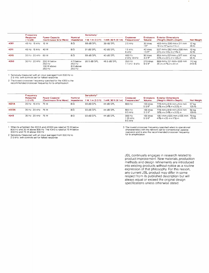|      | Frequency                | <b>Power Capacity</b><br>(Continuous Sine Wave) | <b>Nominal</b><br>Impedance                              | Sensitivity <sup>1</sup> |                     | Crossover<br>Frequencies <sup>2</sup> | Enclosure<br><b>Volume</b>               | <b>Exterior Dimensions</b><br>(Height x Width x Depth)                          | <b>Net Weight</b> |
|------|--------------------------|-------------------------------------------------|----------------------------------------------------------|--------------------------|---------------------|---------------------------------------|------------------------------------------|---------------------------------------------------------------------------------|-------------------|
|      | Response<br>$(\pm 3$ dB) |                                                 |                                                          | 1 W, 1 m (3.3 ft)        | 1 mW, 30 ft (9.1 m) |                                       |                                          |                                                                                 |                   |
| 4301 | 45 Hz - 15 kHz           | 15 W                                            | $8\Omega$                                                | 88 dB SPL                | 39 dB SPL           | 2.5 kHz                               | 30 litres<br>1 <sup>11<sup>3</sup></sup> | 483 mm x 306 mm x 211 mm<br>$19 \ln x 12\frac{1}{16} \ln x 11\frac{1}{4} \ln x$ | 12 kg<br>26 lb    |
| 4311 | 45 Hz - 15 kHz           | 40 W                                            | 8Ω                                                       | 91 dB SPL                | 42 dB SPL           | $15$ kHz.<br>6 kHz                    | 40 litres<br>$1.5~{\rm{ft}}^3$           | 597 mm x 362 mm x 298 mm<br>$23\%$ in x 14 $\%$ in x 11 $\%$ in                 | 19 kg<br>42 lb    |
| 4315 | 35 Hz - 20 kHz 60 W      |                                                 | 8Ω                                                       | 89 dB SPL                | 40 dB SPL           | $400$ Hz.<br>2 kHz 8 kHz              | 90 litres<br>$3.2$ ft <sup>3</sup>       | 854 mm x 521 mm x 327 mm<br>$33\%$ in x 20 $\%$ in x 12 $\%$ in                 | 43 kg<br>95 lb    |
| 4350 | $30$ Hz $-20$ kHz        | 200 W below<br>250 Hz<br>100 W above<br>250 Hz  | $4 \Omega$ below<br>250 Hz<br>$8 \Omega$ above<br>250 Hz | 95 5 dB SPL              | 46.5 dB SPL         | 250 Hz.<br>$11kHz$ 9 $kHz$            | 270 litres<br>9.5 <sup>h3</sup>          | 889 mm x 121 mm x 508 mm<br>35 in x 47% in x 20 in                              | 110 kg<br>243 lb  |

1 Sensitivity measured with an input averaged from 500 Hz to 2 5 kHz. with controls set for flattest response

2 The lowest crossover frequency specified for the 4350 is the recommended crossover frequency for bi-amplification

|       | Frequency                | Power Capacity <sup>1</sup><br>(Continuous Sine Wave) | Nominal<br>Impedance | Sensitivity <sup>2</sup> |                               |                                       |                                  |                                                                 |                   |
|-------|--------------------------|-------------------------------------------------------|----------------------|--------------------------|-------------------------------|---------------------------------------|----------------------------------|-----------------------------------------------------------------|-------------------|
|       | Response<br>$(\pm 3$ dB) |                                                       |                      | 1 W. 1 m (3.3 ft)        | 1 mW, 30 ft $(9.1 \text{ m})$ | Crossover<br>Frequencies <sup>3</sup> | Enclosure<br><b>Volume</b>       | <b>Exterior Dimensions</b><br>(Height x Width x Depth)          | <b>Net Weight</b> |
| 4331A | 35 Hz - 15 kHz 75 W      |                                                       | 8Ω                   | 93 dB SPL                | 44 dB SPL                     | 800 Hz                                | 156 litres<br>5.5 $ft^3$         | 778 mm x 619 mm x 514 mm<br>$30\%$ in x 24 $\%$ in x 20 $\%$ in | 57 kg<br>125 lb   |
| 4333A | 35 Hz 20 kHz 75 W        |                                                       | $8\,\Omega$          | 93 dB SPL                | 44 dB SPL                     | 800 Hz<br>8.5 kHz                     | 156 litres<br>$5.5 \text{ ft}^3$ | 778 mm x 619 mm x 514 mm<br>30% in x 24% in x 20% in            | 59 kg<br>129 lb   |
| 4343  | 35 Hz - 20 kHz 75 W      |                                                       | $8\Omega$            | 93 dB SPL                | 44 dB SPL                     | 300 Hz.<br>1 25 kHz.<br>9.5 kHz       | 156 litres<br>$5.5 \text{ ft}^3$ | 1051 mm x 635 mm x 435 mm 79 kg<br>41% in x 25 in x 17 % in     | 175 lb            |

1 When bi-amplified, the 4331A and 4333A are rated at 75 W below<br>800 Hz and 30 W above 800 Hz The 4343 is rated at 75 W below<br>300 Hz and 75 W above 300 Hz

2 Sensitivity measured with an input averaged from 500 Hz to 2 5 kHz, with controls set for flattest response.

3. The lowest crossover frequency specified refers to operational characteristics with the network set for conventional, passive operation and is also the recommended crossover frequency for bi-amplification.

JBL continually engages in research related to product improvement. New materials, production methods and design refinements are introduced into existing products without notice as a routine expression of that philosophy. For this reason, any current JBL product may differ in some respect from its published description but will always equal or exceed the original design specifications unless otherwise stated.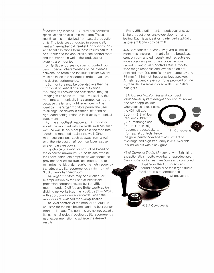Intended Applications. JBL provides complete specifications on all studio monitors. These specifications are derived from actual production units. The tests are conducted in acoustically neutral "hemispherical free-field" conditions. Any significant deviations from these results can thus be attributed to the acoustics of the control room and the manner in which the loudspeaker systems are mounted.

While JBL endorses no specific control room design, certain characteristics of the interface between the room and the loudspeaker system must be taken into account in order to achieve the desired performance.

JBL monitors may be operated in either the horizontal or vertical position, but vertical mounting will provide the best stereo imaging. Imaging will also be improved by installing the monitors symmetrically in a symmetrical room, because the left and right reflections will be identical. The larger monitors permit the user to arrange the drivers in either a left-hand or right-hand configuration to facilitate symmetrical placement.

For the smoothest response, JBL monitors should be mounted with the baffle surfaces flush with the wall. If this is not possible, the monitors should be mounted against the wall. Other mounting locations, such as away from a wall or at the intersection of room surfaces, cause uneven bass response.

The choice of a monitor should be based on the expected maximum SPL to be achieved in the room. Adequate amplifier power should be provided to allow full transient impact, and to minimize the risk of damage to the high frequency transducers. JBL recommends a minimum of 3 dB of amplifier headroom.

The larger monitors may be switched for bi-amplification by the user; all necessary protection components are built in. JBL recommends 12 dB/octave Butterworth active dividing networks (such as a JBL 5233 or 5234, with appropriate crossover cards) when the monitors are switched for bi-amplification.

The level controls of the monitors should be adjusted for the best balance and the best center monaural image. The controls are not necessarily flat at the "12-o'clock" position: JBL recommends user experimentation to achieve the desired results.

Every JBL studio monitor loudspeaker system is the product of extensive development and testing. Each is as ideal for its intended application as present technology permits.

4301 Broadcast Monitor. 2-way. JBL's smallest monitor is designed primarily for the broadcast control room and edit booth, and has achieved wide acceptance in home studios, remote recording and quality control areas. Smooth, wide range response and low distortion are obtained from 200-mm (8-in) low frequency and 36-mm (1.4-in) high frequency loudspeakers. A high frequency level control is provided on the front baffle. Available in oiled walnut with dark blue grille.

4311 Control Monitor. 3-way. A compact loudspeaker system designed for control rooms

and other applications where space is restricted the 4311 utilizes 300-mm (12-in) low frequency, 130-mm (5-in) midrange and 36-mm (1.4-in) high frequency loudspeakers. Front panel controls, below



the grille, permit convenient adjustment of midrange and high frequency levels. Available in oiled walnut with black grille.

4315 Compact Studio Monitor. 4-way. Exhibiting exceptionally smooth, wide-band reproduction, clarity, superior transient response and controlled

dispersion, the 4315 is similar in sound character to the larger studio monitors. It is recommended

whenever the

4331A Components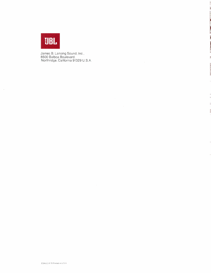

 $\sim$ 

James B. Lansing Sound, Inc., 8500 Balboa Boulevard, Northridge, California 91329 U.S.A.

 $\lambda$ 

 $\bar{ }$ 

 $\lambda$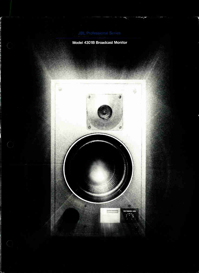## Model 4301B Broadcast Monitor

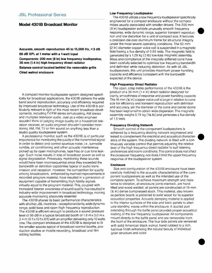## Model 4301B Broadcast Monitor

Accurate, smooth reproduction 45 to 15,000 Hz,  $\pm$ 3 dB 88 dB SPL at 1 meter with a 1-watt input Components: 200 mm (8 in) low frequency loudspeaker, 36 mm (1.4 in) high frequency direct radiator Balance control located behind the removable grille

Oiled walnut enclosure

A compact monitor loudspeaker system designed specifically for broadcast applications, the 4301B delivers the wide band sound reproduction, accuracy and efficiency required by improved broadcast technology. Use of the 4301B is particularly relevant in light of the most recent broadcast developments, including TV/FM stereo simulcasting, AM stereo and multiplex television audio. Just as a video engineer wouldn't think of judging image quality on a household television receiver, an audio engineer shouldn't consider monitoring AM, FM, TV or film sound on anything less than a studio quality loudspeaker system.

A professional monitor, such as the 4301B, is of particular importance for monitoring the quality of the transmitted signal in order to detect and control spurious noise, i.e., turntable rumble, air conditioning and other acoustic interference picked up by open microphones, tape hiss or cue tone leakage. Such noise results in loss of broadcast power as well as signal degradation. Previously, monitoring these sounds would have been inconsequential since they exceeded the bandwidth or definition capabilities typical of audio transmission and reception. However, the competition for quality among broadcasters, enhanced by marked improvements in recorded program material, have resulted in a generation of equipment capable of transmitting high fidelity signals virtually equal to the program material. This, coupled with increased listener awareness of sound quality, has resulted in industry-wide improvement in broadcast technology, making accurate monitoring absolutely essential.

The 4301B shares its basic performance characteristics with all other JBL monitors – exceptional clarity, wide dynamic range, solid bass and open high frequency reproduction. The 4301B is efficient enough to produce a sound pressure level of 98 dB in a typical broadcast booth of 1.8 m x 3.0 m x 2.4 m (6 ft x 10 ft x 8 ft) with an amplifier delivering only 10 watts rms.The compact enclosure of the 4301B is designed to fit the smaller spaces typical of broadcast control booths, production studios or mobile recording, broadcast and film editing facilities.

### Low Frequency Loudspeaker

The 4301B utilizes a low frequency loudspeaker specifically engineered for a compact enclosure without the compromises usually associated with smaller drivers. The 200 mm (8 in) loudspeaker exhibits unusually smooth frequency response, wide dynamic range, superior transient reproduction and low distortion for a unit of compact size. It features a precision die-cast aluminum frame for structural integrity under the most severe operating conditions. The 50 mm (2 in) diameter copper voice coil is suspended in a magnetic field having a flux density of 0.85 tesla. The magnetic field is generated by a 1.28 kg (3 lb) low-loss magnetic assembly. Mass and compliance of the integrally stiffened cone have been carefully selected to optimize low frequency bandwidth and definition while reducing distortion. As with all JBL loudspeakers, this unit provides maximum power handling capacity and efficiency consistent with the bandwidth expected of the device.

 $\bullet$ 

 $\bullet$ 

 $\bullet$ 

## High Frequency Direct Radiator

The open, crisp treble performance of the 4301B is the product of a 36 mm (1.4 in) direct radiator designed for clarity, smoothness of response and power handling capacity. The 16 mm (% in) copper voice coil is large in relation to cone size for efficiency and transient reproduction with definition and accuracy, yet the diameter of the cone and center dome has been kept small to obtain wide dispersion. The magnetic assembly weighs 0.74 kg (1% lb) and generates a flux density of 1.5 tesla.

### Frequency Dividing Network

Smooth control of the component loudspeakers is achieved by a frequency dividing network engineered and tested to complement the electrical and acoustical characteristics of the system. The dividing network is fitted with a continuously variable control that permits adjusting the relative level of the high frequency direct radiator to suit listening preferences and room conditions.The control does not affect the crossover frequency, nor does it limit the upper frequency response of the loudspeaker system.

## Enclosure

Size and configuration of the 4301B enclosure have been carefully matched to the acoustic characteristics of the component loudspeakers as well as the intended use of the complete system. To achieve maximum strength and resistance to vibration, all enclosure joints interlock, are hand fitted and wood welded; all panels are constructed of 19 mm (% in) dense compressed stock. This material, also known as particle board, is preferred to solid wood for its superior acoustical properties. Acoustic damping material is applied to the interior surfaces of the side and back panels to attenuate standing waves within the enclosure. A ducted port extending through the baffle panel provides proper acoustical loading of the low frequency loudspeaker. All components mount directly to the baffle panel and are removable from the front of the enclosure. The four side panels are veneered with solid American black walnut, hand rubbed to a rich, lustrous finish enhancing the natural beauty of individual grain structure and color.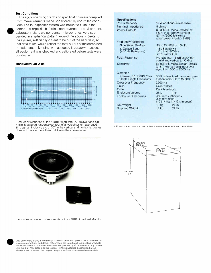## Test Conditions

The accompanying graph and specifications were compiled from measurements made under carefully controlled conditions. The loudspeaker system was mounted flush in the center of a large, flat baffle in a non-reverberant environment. Laboratory-standard condenser microphones were suspended in a spherical pattern around the acoustic center of the system, sufficiently distant to be out of the near field, so that data taken would reflect the total output of the combined transducers. In keeping with accepted laboratory practice, all equipment was checked and calibrated before tests were conducted.

## Bandwidth On-Axis



Frequency response of the 4301B taken with 1/3-octave band pink noise. Measured response contour of a typical system averaged through an inclusive arc of 30° in the vertical and horizontal planes does not deviate more than 3 dB from the above curve.

**Specifications** Power Capacity Nominal Impedance Power Output<sup>1</sup> Frequency Response Sine Wave, On-Axis 4-Octave Band (400 Hz Reference) Polar Response **Sensitivity Distortion** Power. 87 dB SPL/3 m (10 ft), Single Frequency Crossover Frequency Finish **Grille** Enclosure Volume Enclosure Dimensions Net Weight Shipping Weight 15 W continuous sine wave 8 ohms 88 dB SPL measured at 3 m (10 ft) in a room volume of 57 m<sup>3</sup> (2000 ft<sup>3</sup>) with 1/2 rated power input (-3 dB) 45 to 15,000 Hz.  $\pm 3$  dB  $-3$  dB at 50 Hz 0 dB at 1200 Hz +2 dB at 12 kHz No less than —6 dB at 90° horizontal and vertical to 10 kHz 88 dB SPL measured at 1 metre (3.3 ft) with a 1-watt input averaged from 500 to 2500 Hz 0.5% or less third harmonic generation from 100 to 15,000 Hz 2500 Hz Oiled walnut Dark blue fabric 28 L 1 ft<sup>a</sup> 483 mm x 292 mm x 306 mm deep  $(19 in x 11\frac{1}{2} in x 12\frac{1}{4} in decay)$ 12 kg 26 fb 13 kg 29 lb

1. Power output measured with a B&K Impulse Precision Sound Level Meter



Loudspeaker system components of the 4301B Broadcast Monitor

JBL continually engages in research related to product improvement. New materials, production methods and design refinements are introduced into existing products without notice as a routine expression of that philosophy For this reason, any current JBL product may differ in some respect from its published description but will always equal or exceed the original design specifications unless otherwise stated.